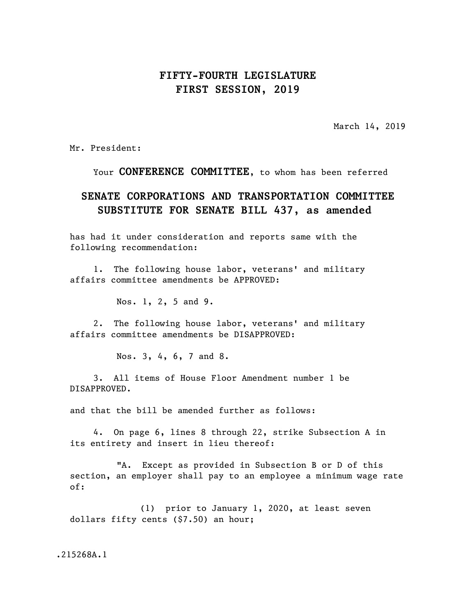## **FIFTY-FOURTH LEGISLATURE FIRST SESSION, 2019**

March 14, 2019

Mr. President:

Your **CONFERENCE COMMITTEE**, to whom has been referred

## **SENATE CORPORATIONS AND TRANSPORTATION COMMITTEE SUBSTITUTE FOR SENATE BILL 437, as amended**

has had it under consideration and reports same with the following recommendation:

1. The following house labor, veterans' and military affairs committee amendments be APPROVED:

Nos. 1, 2, 5 and 9.

2. The following house labor, veterans' and military affairs committee amendments be DISAPPROVED:

Nos. 3, 4, 6, 7 and 8.

3. All items of House Floor Amendment number 1 be DISAPPROVED.

and that the bill be amended further as follows:

4. On page 6, lines 8 through 22, strike Subsection A in its entirety and insert in lieu thereof:

"A. Except as provided in Subsection B or D of this section, an employer shall pay to an employee a minimum wage rate of:

(1) prior to January 1, 2020, at least seven dollars fifty cents (\$7.50) an hour;

.215268A.1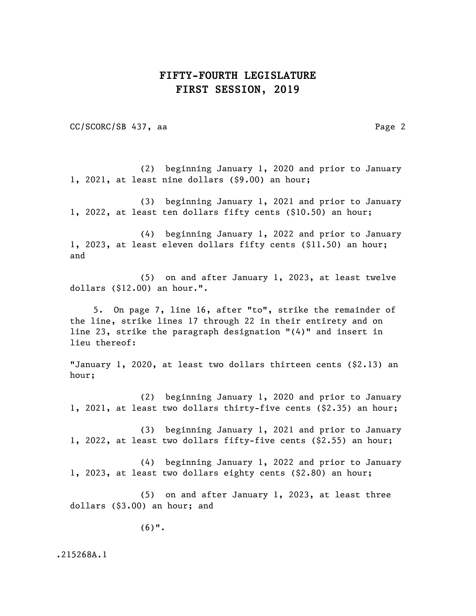## **FIFTY-FOURTH LEGISLATURE FIRST SESSION, 2019**

CC/SCORC/SB 437, aa Page 2

(2) beginning January 1, 2020 and prior to January 1, 2021, at least nine dollars (\$9.00) an hour;

(3) beginning January 1, 2021 and prior to January 1, 2022, at least ten dollars fifty cents (\$10.50) an hour;

(4) beginning January 1, 2022 and prior to January 1, 2023, at least eleven dollars fifty cents (\$11.50) an hour; and

(5) on and after January 1, 2023, at least twelve dollars (\$12.00) an hour.".

5. On page 7, line 16, after "to", strike the remainder of the line, strike lines 17 through 22 in their entirety and on line 23, strike the paragraph designation "(4)" and insert in lieu thereof:

"January 1, 2020, at least two dollars thirteen cents (\$2.13) an hour;

(2) beginning January 1, 2020 and prior to January 1, 2021, at least two dollars thirty-five cents (\$2.35) an hour;

(3) beginning January 1, 2021 and prior to January 1, 2022, at least two dollars fifty-five cents (\$2.55) an hour;

(4) beginning January 1, 2022 and prior to January 1, 2023, at least two dollars eighty cents (\$2.80) an hour;

(5) on and after January 1, 2023, at least three dollars (\$3.00) an hour; and

(6)".

.215268A.1